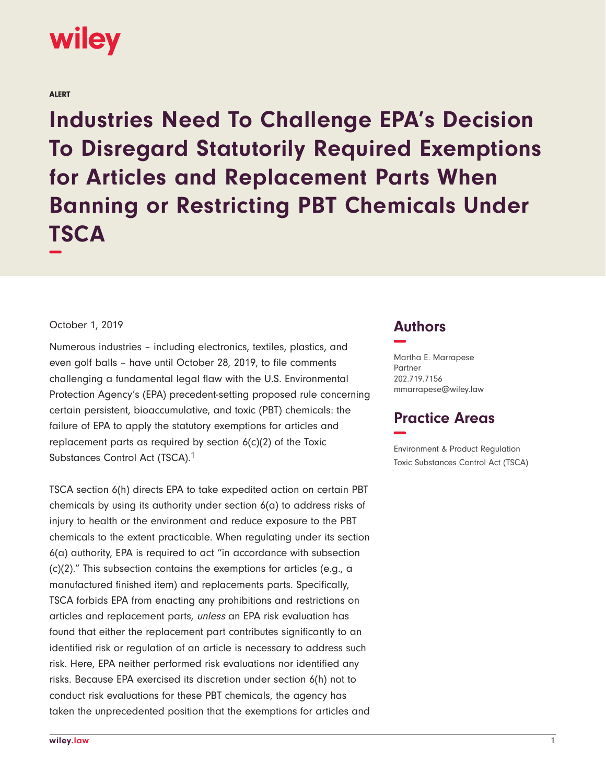## wiley

ALERT

**Industries Need To Challenge EPA's Decision To Disregard Statutorily Required Exemptions for Articles and Replacement Parts When Banning or Restricting PBT Chemicals Under TSCA −**

## October 1, 2019

Numerous industries – including electronics, textiles, plastics, and even golf balls – have until October 28, 2019, to file comments challenging a fundamental legal flaw with the U.S. Environmental Protection Agency's (EPA) precedent-setting proposed rule concerning certain persistent, bioaccumulative, and toxic (PBT) chemicals: the failure of EPA to apply the statutory exemptions for articles and replacement parts as required by section 6(c)(2) of the Toxic Substances Control Act (TSCA).1

TSCA section 6(h) directs EPA to take expedited action on certain PBT chemicals by using its authority under section 6(a) to address risks of injury to health or the environment and reduce exposure to the PBT chemicals to the extent practicable. When regulating under its section 6(a) authority, EPA is required to act "in accordance with subsection (c)(2)." This subsection contains the exemptions for articles (e.g., a manufactured finished item) and replacements parts. Specifically, TSCA forbids EPA from enacting any prohibitions and restrictions on articles and replacement parts, unless an EPA risk evaluation has found that either the replacement part contributes significantly to an identified risk or regulation of an article is necessary to address such risk. Here, EPA neither performed risk evaluations nor identified any risks. Because EPA exercised its discretion under section 6(h) not to conduct risk evaluations for these PBT chemicals, the agency has taken the unprecedented position that the exemptions for articles and

## **Authors −**

Martha E. Marrapese Partner 202.719.7156 mmarrapese@wiley.law

## **Practice Areas −**

Environment & Product Regulation Toxic Substances Control Act (TSCA)